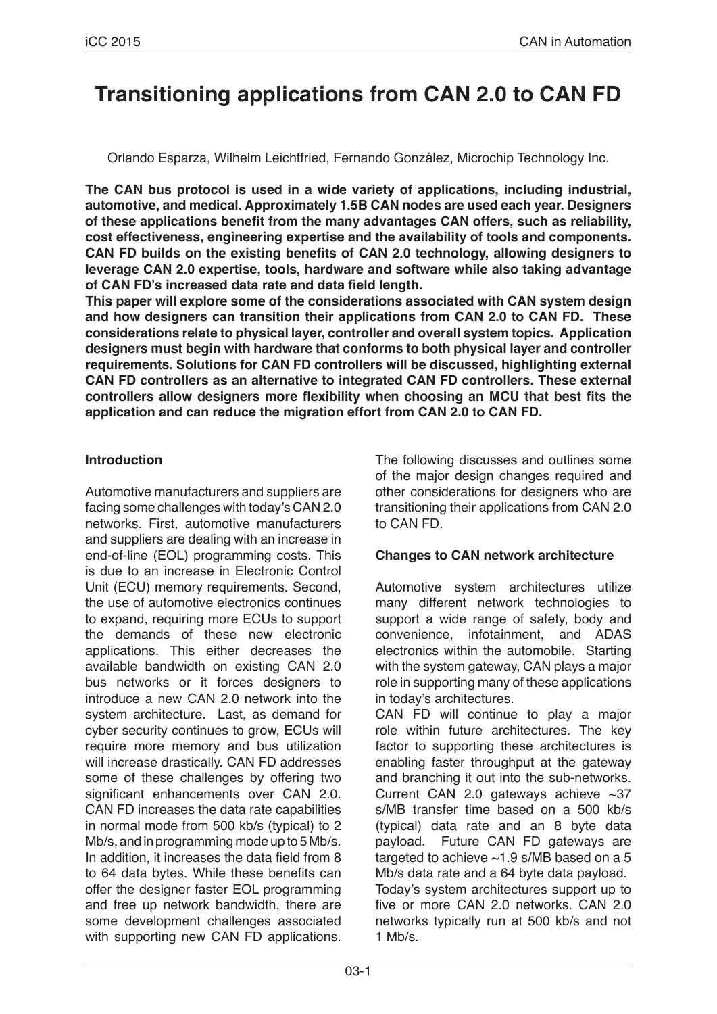# **Transitioning applications from CAN 2.0 to CAN FD**

Orlando Esparza, Wilhelm Leichtfried, Fernando González, Microchip Technology Inc.

**The CAN bus protocol is used in a wide variety of applications, including industrial, automotive, and medical. Approximately 1.5B CAN nodes are used each year. Designers of these applications benefit from the many advantages CAN offers, such as reliability, cost effectiveness, engineering expertise and the availability of tools and components. CAN FD builds on the existing benefits of CAN 2.0 technology, allowing designers to leverage CAN 2.0 expertise, tools, hardware and software while also taking advantage of CAN FD's increased data rate and data field length.**

**This paper will explore some of the considerations associated with CAN system design and how designers can transition their applications from CAN 2.0 to CAN FD. These considerations relate to physical layer, controller and overall system topics. Application designers must begin with hardware that conforms to both physical layer and controller requirements. Solutions for CAN FD controllers will be discussed, highlighting external CAN FD controllers as an alternative to integrated CAN FD controllers. These external controllers allow designers more flexibility when choosing an MCU that best fits the application and can reduce the migration effort from CAN 2.0 to CAN FD.**

## **Introduction**

Automotive manufacturers and suppliers are facing some challenges with today's CAN 2.0 networks. First, automotive manufacturers and suppliers are dealing with an increase in end-of-line (EOL) programming costs. This is due to an increase in Electronic Control Unit (ECU) memory requirements. Second, the use of automotive electronics continues to expand, requiring more ECUs to support the demands of these new electronic applications. This either decreases the available bandwidth on existing CAN 2.0 bus networks or it forces designers to introduce a new CAN 2.0 network into the system architecture. Last, as demand for cyber security continues to grow, ECUs will require more memory and bus utilization will increase drastically. CAN FD addresses some of these challenges by offering two significant enhancements over CAN 2.0. CAN FD increases the data rate capabilities in normal mode from 500 kb/s (typical) to 2 Mb/s, and in programming mode up to 5 Mb/s. In addition, it increases the data field from 8 to 64 data bytes. While these benefits can offer the designer faster EOL programming and free up network bandwidth, there are some development challenges associated with supporting new CAN FD applications. The following discusses and outlines some of the major design changes required and other considerations for designers who are transitioning their applications from CAN 2.0 to CAN FD.

## **Changes to CAN network architecture**

Automotive system architectures utilize many different network technologies to support a wide range of safety, body and convenience, infotainment, and ADAS electronics within the automobile. Starting with the system gateway, CAN plays a major role in supporting many of these applications in today's architectures.

CAN FD will continue to play a major role within future architectures. The key factor to supporting these architectures is enabling faster throughput at the gateway and branching it out into the sub-networks. Current CAN 2.0 gateways achieve  $\sim$ 37 s/MB transfer time based on a 500 kb/s (typical) data rate and an 8 byte data payload. Future CAN FD gateways are targeted to achieve ~1.9 s/MB based on a 5 Mb/s data rate and a 64 byte data payload. Today's system architectures support up to five or more CAN 2.0 networks. CAN 2.0 networks typically run at 500 kb/s and not 1 Mb/s.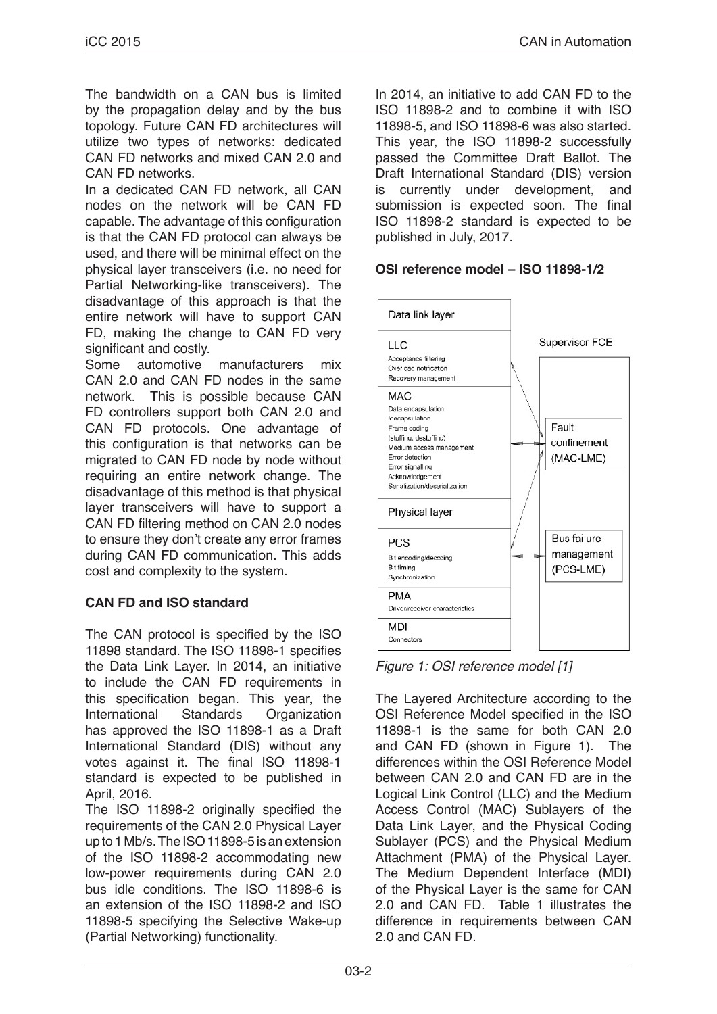The bandwidth on a CAN bus is limited by the propagation delay and by the bus topology. Future CAN FD architectures will utilize two types of networks: dedicated CAN FD networks and mixed CAN 2.0 and CAN FD networks.

In a dedicated CAN FD network, all CAN nodes on the network will be CAN FD capable. The advantage of this configuration is that the CAN FD protocol can always be used, and there will be minimal effect on the physical layer transceivers (i.e. no need for Partial Networking-like transceivers). The disadvantage of this approach is that the entire network will have to support CAN FD, making the change to CAN FD very significant and costly.

Some automotive manufacturers mix CAN 2.0 and CAN FD nodes in the same network. This is possible because CAN FD controllers support both CAN 2.0 and CAN FD protocols. One advantage of this configuration is that networks can be migrated to CAN FD node by node without requiring an entire network change. The disadvantage of this method is that physical layer transceivers will have to support a CAN FD filtering method on CAN 2.0 nodes to ensure they don't create any error frames during CAN FD communication. This adds cost and complexity to the system.

## **CAN FD and ISO standard**

The CAN protocol is specified by the ISO 11898 standard. The ISO 11898-1 specifies the Data Link Layer. In 2014, an initiative to include the CAN FD requirements in this specification began. This year, the International Standards Organization has approved the ISO 11898-1 as a Draft International Standard (DIS) without any votes against it. The final ISO 11898-1 standard is expected to be published in April, 2016.

The ISO 11898-2 originally specified the requirements of the CAN 2.0 Physical Layer up to 1 Mb/s. The ISO 11898-5 is an extension of the ISO 11898-2 accommodating new low-power requirements during CAN 2.0 bus idle conditions. The ISO 11898-6 is an extension of the ISO 11898-2 and ISO 11898-5 specifying the Selective Wake-up (Partial Networking) functionality.

In 2014, an initiative to add CAN FD to the ISO 11898-2 and to combine it with ISO 11898-5, and ISO 11898-6 was also started. This year, the ISO 11898-2 successfully passed the Committee Draft Ballot. The Draft International Standard (DIS) version is currently under development, and submission is expected soon. The final ISO 11898-2 standard is expected to be published in July, 2017.

## **OSI reference model – ISO 11898-1/2**



*Figure 1: OSI reference model [1]*

The Layered Architecture according to the OSI Reference Model specified in the ISO 11898-1 is the same for both CAN 2.0 and CAN FD (shown in Figure 1). The differences within the OSI Reference Model between CAN 2.0 and CAN FD are in the Logical Link Control (LLC) and the Medium Access Control (MAC) Sublayers of the Data Link Layer, and the Physical Coding Sublayer (PCS) and the Physical Medium Attachment (PMA) of the Physical Layer. The Medium Dependent Interface (MDI) of the Physical Layer is the same for CAN 2.0 and CAN FD. Table 1 illustrates the difference in requirements between CAN 2.0 and CAN FD.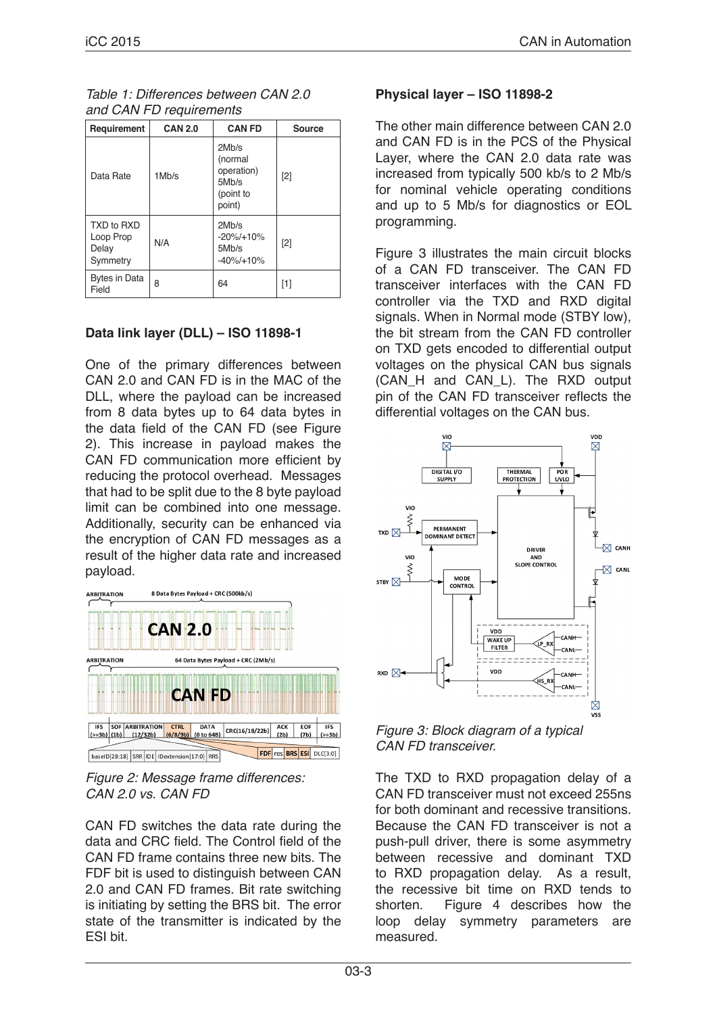#### *Table 1: Differences between CAN 2.0 and CAN FD requirements*

| Requirement                                  | <b>CAN 2.0</b> | <b>CAN FD</b>                                                  | Source |
|----------------------------------------------|----------------|----------------------------------------------------------------|--------|
| Data Rate                                    | 1Mb/s          | 2Mb/s<br>(normal<br>operation)<br>5Mb/s<br>(point to<br>point) | [2]    |
| TXD to RXD<br>Loop Prop<br>Delay<br>Symmetry | N/A            | 2Mb/s<br>$-20\% / + 10\%$<br>5Mb/s<br>$-40\% / + 10\%$         | [2]    |
| Bytes in Data<br>Field                       | 8              | 64                                                             | [1]    |

# **Data link layer (DLL) – ISO 11898-1**

One of the primary differences between CAN 2.0 and CAN FD is in the MAC of the DLL, where the payload can be increased from 8 data bytes up to 64 data bytes in the data field of the CAN FD (see Figure 2). This increase in payload makes the CAN FD communication more efficient by reducing the protocol overhead. Messages that had to be split due to the 8 byte payload limit can be combined into one message. Additionally, security can be enhanced via the encryption of CAN FD messages as a result of the higher data rate and increased payload.





CAN FD switches the data rate during the data and CRC field. The Control field of the CAN FD frame contains three new bits. The FDF bit is used to distinguish between CAN 2.0 and CAN FD frames. Bit rate switching is initiating by setting the BRS bit. The error state of the transmitter is indicated by the ESI bit.

## **Physical layer – ISO 11898-2**

The other main difference between CAN 2.0 and CAN FD is in the PCS of the Physical Layer, where the CAN 2.0 data rate was increased from typically 500 kb/s to 2 Mb/s for nominal vehicle operating conditions and up to 5 Mb/s for diagnostics or EOL programming.

Figure 3 illustrates the main circuit blocks of a CAN FD transceiver. The CAN FD transceiver interfaces with the CAN FD controller via the TXD and RXD digital signals. When in Normal mode (STBY low), the bit stream from the CAN FD controller on TXD gets encoded to differential output voltages on the physical CAN bus signals (CAN\_H and CAN\_L). The RXD output pin of the CAN FD transceiver reflects the differential voltages on the CAN bus.



*Figure 3: Block diagram of a typical CAN FD transceiver.*

The TXD to RXD propagation delay of a CAN FD transceiver must not exceed 255ns for both dominant and recessive transitions. Because the CAN FD transceiver is not a push-pull driver, there is some asymmetry between recessive and dominant TXD to RXD propagation delay. As a result. the recessive bit time on RXD tends to shorten. Figure 4 describes how the loop delay symmetry parameters are measured.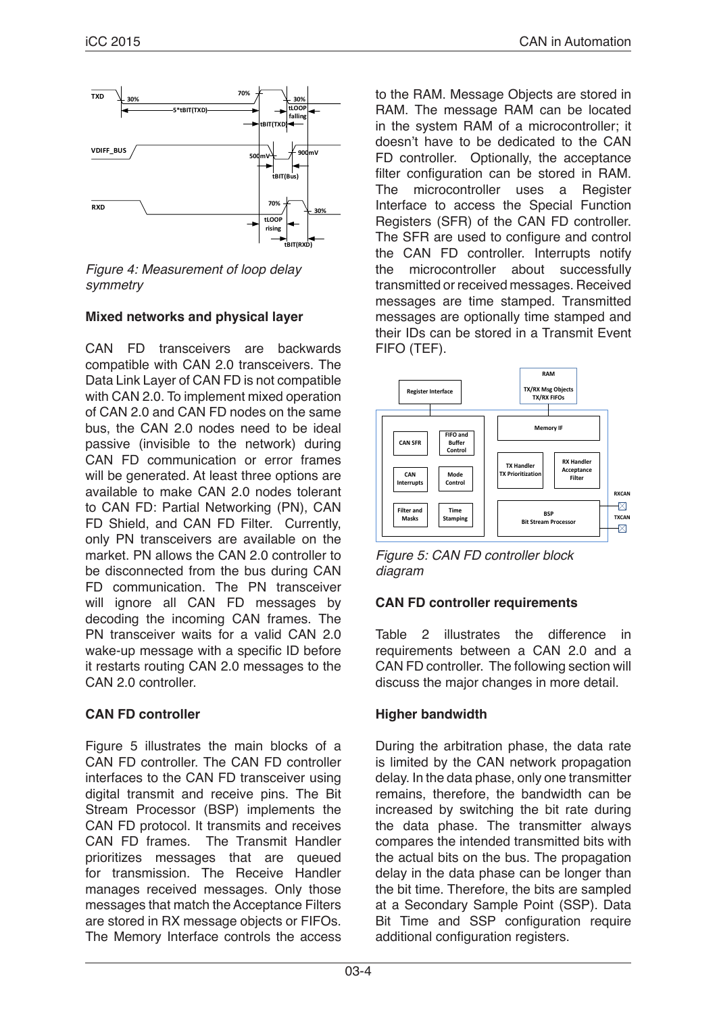

*Figure 4: Measurement of loop delay symmetry*

## **Mixed networks and physical layer**

CAN FD transceivers are backwards compatible with CAN 2.0 transceivers. The Data Link Layer of CAN FD is not compatible with CAN 2.0. To implement mixed operation of CAN 2.0 and CAN FD nodes on the same bus, the CAN 2.0 nodes need to be ideal passive (invisible to the network) during CAN FD communication or error frames will be generated. At least three options are available to make CAN 2.0 nodes tolerant to CAN FD: Partial Networking (PN), CAN FD Shield, and CAN FD Filter. Currently, only PN transceivers are available on the market. PN allows the CAN 2.0 controller to be disconnected from the bus during CAN FD communication. The PN transceiver will ignore all CAN FD messages by decoding the incoming CAN frames. The PN transceiver waits for a valid CAN 2.0 wake-up message with a specific ID before it restarts routing CAN 2.0 messages to the CAN 2.0 controller.

## **CAN FD controller**

Figure 5 illustrates the main blocks of a CAN FD controller. The CAN FD controller interfaces to the CAN FD transceiver using digital transmit and receive pins. The Bit Stream Processor (BSP) implements the CAN FD protocol. It transmits and receives CAN FD frames. The Transmit Handler prioritizes messages that are queued for transmission. The Receive Handler manages received messages. Only those messages that match the Acceptance Filters are stored in RX message objects or FIFOs. The Memory Interface controls the access to the RAM. Message Objects are stored in RAM. The message RAM can be located in the system RAM of a microcontroller; it doesn't have to be dedicated to the CAN FD controller. Optionally, the acceptance filter configuration can be stored in RAM. The microcontroller uses a Register Interface to access the Special Function Registers (SFR) of the CAN FD controller. The SFR are used to configure and control the CAN FD controller. Interrupts notify<br>the microcontroller about successfully microcontroller about successfully transmitted or received messages. Received messages are time stamped. Transmitted messages are optionally time stamped and their IDs can be stored in a Transmit Event FIFO (TEF).



*Figure 5: CAN FD controller block diagram*

## **CAN FD controller requirements**

Table 2 illustrates the difference in requirements between a CAN 2.0 and a CAN FD controller. The following section will discuss the major changes in more detail.

## **Higher bandwidth**

During the arbitration phase, the data rate is limited by the CAN network propagation delay. In the data phase, only one transmitter remains, therefore, the bandwidth can be increased by switching the bit rate during the data phase. The transmitter always compares the intended transmitted bits with the actual bits on the bus. The propagation delay in the data phase can be longer than the bit time. Therefore, the bits are sampled at a Secondary Sample Point (SSP). Data Bit Time and SSP configuration require additional configuration registers.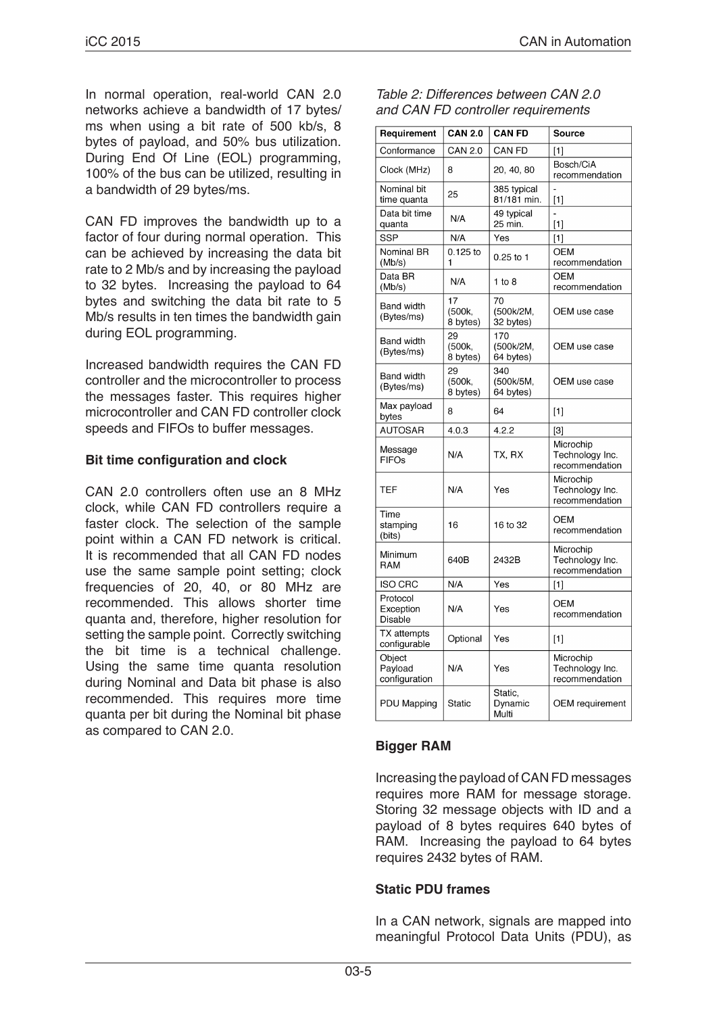In normal operation, real-world CAN 2.0 networks achieve a bandwidth of 17 bytes/ ms when using a bit rate of 500 kb/s, 8 bytes of payload, and 50% bus utilization. During End Of Line (EOL) programming, 100% of the bus can be utilized, resulting in a bandwidth of 29 bytes/ms.

CAN FD improves the bandwidth up to a factor of four during normal operation. This can be achieved by increasing the data bit rate to 2 Mb/s and by increasing the payload to 32 bytes. Increasing the payload to 64 bytes and switching the data bit rate to 5 Mb/s results in ten times the bandwidth gain during EOL programming.

Increased bandwidth requires the CAN FD controller and the microcontroller to process the messages faster. This requires higher microcontroller and CAN FD controller clock speeds and FIFOs to buffer messages.

#### **Bit time configuration and clock**

CAN 2.0 controllers often use an 8 MHz clock, while CAN FD controllers require a faster clock. The selection of the sample point within a CAN FD network is critical. It is recommended that all CAN FD nodes use the same sample point setting; clock frequencies of 20, 40, or 80 MHz are recommended. This allows shorter time quanta and, therefore, higher resolution for setting the sample point. Correctly switching the bit time is a technical challenge. Using the same time quanta resolution during Nominal and Data bit phase is also recommended. This requires more time quanta per bit during the Nominal bit phase as compared to CAN 2.0.

| Table 2: Differences between CAN 2.0 |
|--------------------------------------|
| and CAN FD controller requirements   |

| Requirement                        | <b>CAN 2.0</b>           | <b>CAN FD</b>                 | Source                                         |
|------------------------------------|--------------------------|-------------------------------|------------------------------------------------|
| Conformance                        | <b>CAN 2.0</b>           | CAN FD                        | $[1]$                                          |
| Clock (MHz)                        | 8                        | 20, 40, 80                    | Bosch/CiA<br>recommendation                    |
| Nominal bit<br>time quanta         | 25                       | 385 typical<br>81/181 min.    | $[1]$                                          |
| Data bit time<br>quanta            | N/A                      | 49 typical<br>25 min.         | $\overline{a}$<br>$[1]$                        |
| <b>SSP</b>                         | N/A                      | Yes                           | $[1]$                                          |
| Nominal BR<br>(Mb/s)               | $0.125$ to<br>1          | $0.25$ to 1                   | <b>OEM</b><br>recommendation                   |
| Data BR<br>(Mb/s)                  | N/A                      | $1$ to $8$                    | OEM<br>recommendation                          |
| Band width<br>(Bytes/ms)           | 17<br>(500k,<br>8 bytes) | 70<br>(500k/2M,<br>32 bytes)  | OEM use case                                   |
| <b>Band width</b><br>(Bytes/ms)    | 29<br>(500k,<br>8 bytes) | 170<br>(500k/2M,<br>64 bytes) | OEM use case                                   |
| <b>Band width</b><br>(Bytes/ms)    | 29<br>(500k,<br>8 bytes) | 340<br>(500k/5M,<br>64 bytes) | OEM use case                                   |
| Max payload<br>bytes               | 8                        | 64                            | $[1]$                                          |
| <b>AUTOSAR</b>                     | 4.0.3                    | 4.2.2                         | $[3]$                                          |
| Message<br><b>FIFOs</b>            | N/A                      | TX, RX                        | Microchip<br>Technology Inc.<br>recommendation |
| <b>TEF</b>                         | N/A                      | Yes                           | Microchip<br>Technology Inc.<br>recommendation |
| Time<br>stamping<br>(bits)         | 16                       | 16 to 32                      | OEM<br>recommendation                          |
| Minimum<br>RAM                     | 640B                     | 2432B                         | Microchip<br>Technology Inc.<br>recommendation |
| <b>ISO CRC</b>                     | N/A                      | Yes                           | $[1]$                                          |
| Protocol<br>Exception<br>Disable   | N/A                      | Yes                           | OEM<br>recommendation                          |
| <b>TX</b> attempts<br>configurable | Optional                 | Yes                           | [1]                                            |
| Object<br>Payload<br>configuration | N/A                      | Yes                           | Microchip<br>Technology Inc.<br>recommendation |
| PDU Mapping                        | <b>Static</b>            | Static,<br>Dynamic<br>Multi   | <b>OEM</b> requirement                         |

#### **Bigger RAM**

Increasing the payload of CAN FD messages requires more RAM for message storage. Storing 32 message objects with ID and a payload of 8 bytes requires 640 bytes of RAM. Increasing the payload to 64 bytes requires 2432 bytes of RAM.

#### **Static PDU frames**

In a CAN network, signals are mapped into meaningful Protocol Data Units (PDU), as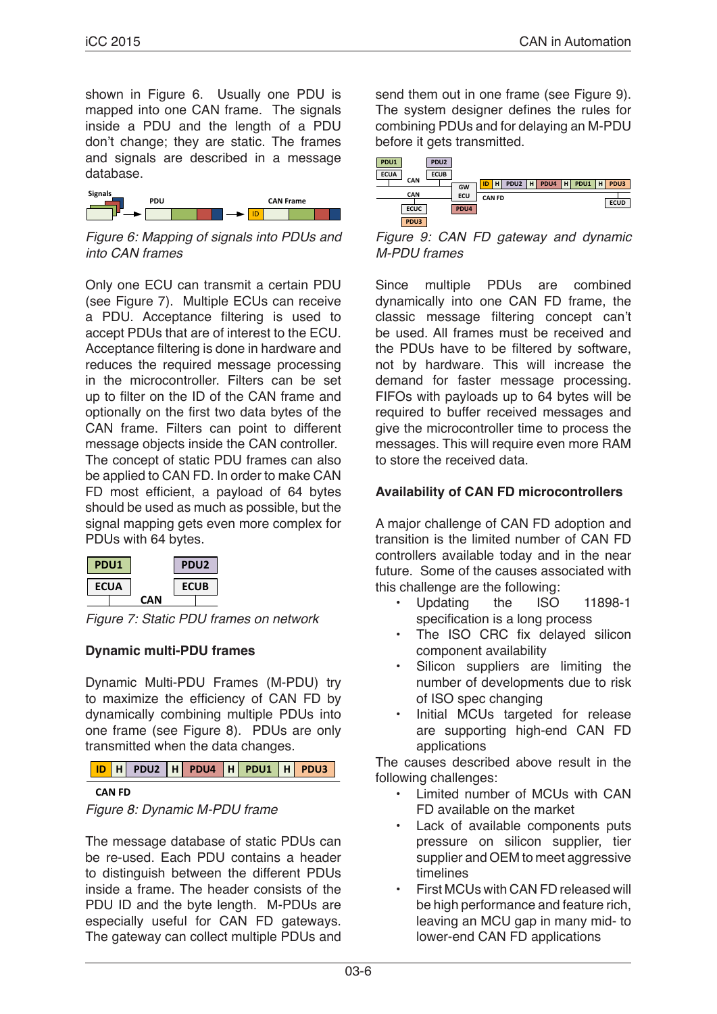shown in Figure 6. Usually one PDU is mapped into one CAN frame. The signals inside a PDU and the length of a PDU don't change; they are static. The frames and signals are described in a message database.



*Figure 6: Mapping of signals into PDUs and into CAN frames*

Only one ECU can transmit a certain PDU (see Figure 7). Multiple ECUs can receive a PDU. Acceptance filtering is used to accept PDUs that are of interest to the ECU. Acceptance filtering is done in hardware and reduces the required message processing in the microcontroller. Filters can be set up to filter on the ID of the CAN frame and optionally on the first two data bytes of the CAN frame. Filters can point to different message objects inside the CAN controller. The concept of static PDU frames can also be applied to CAN FD. In order to make CAN FD most efficient, a payload of 64 bytes should be used as much as possible, but the signal mapping gets even more complex for PDUs with 64 bytes.

| PDU1        |     | PDU <sub>2</sub> |  |
|-------------|-----|------------------|--|
| <b>ECUA</b> |     | <b>ECUB</b>      |  |
|             | CΔN |                  |  |

*Figure 7: Static PDU frames on network*

## **Dynamic multi-PDU frames**

Dynamic Multi-PDU Frames (M-PDU) try to maximize the efficiency of CAN FD by dynamically combining multiple PDUs into one frame (see Figure 8). PDUs are only transmitted when the data changes.



#### **CAN FD**



The message database of static PDUs can be re-used. Each PDU contains a header to distinguish between the different PDUs inside a frame. The header consists of the PDU ID and the byte length. M-PDUs are especially useful for CAN FD gateways. The gateway can collect multiple PDUs and send them out in one frame (see Figure 9). The system designer defines the rules for combining PDUs and for delaying an M-PDU before it gets transmitted.

| PDU1        | PDU <sub>2</sub>                                           |             |
|-------------|------------------------------------------------------------|-------------|
| <b>ECUA</b> | <b>ECUB</b>                                                |             |
| CAN         | PDU <sub>2</sub><br>PDU4<br>$H$ PDU1<br>H<br>н<br>ID<br>GW | H PDU3      |
| <b>CAN</b>  | ECU<br><b>CAN FD</b>                                       | <b>ECUD</b> |
| <b>ECUC</b> | PDU4                                                       |             |
| PDU3        |                                                            |             |

*Figure 9: CAN FD gateway and dynamic M-PDU frames*

Since multiple PDUs are combined dynamically into one CAN FD frame, the classic message filtering concept can't be used. All frames must be received and the PDUs have to be filtered by software, not by hardware. This will increase the demand for faster message processing. FIFOs with payloads up to 64 bytes will be required to buffer received messages and give the microcontroller time to process the messages. This will require even more RAM to store the received data.

## **Availability of CAN FD microcontrollers**

A major challenge of CAN FD adoption and transition is the limited number of CAN FD controllers available today and in the near future. Some of the causes associated with this challenge are the following:

- Updating the ISO 11898-1 specification is a long process
- The ISO CRC fix delayed silicon component availability
- Silicon suppliers are limiting the number of developments due to risk of ISO spec changing
- Initial MCUs targeted for release are supporting high-end CAN FD applications

The causes described above result in the following challenges:

- Limited number of MCUs with CAN FD available on the market
- Lack of available components puts pressure on silicon supplier, tier supplier and OEM to meet aggressive timelines
- First MCUs with CAN FD released will be high performance and feature rich, leaving an MCU gap in many mid- to lower-end CAN FD applications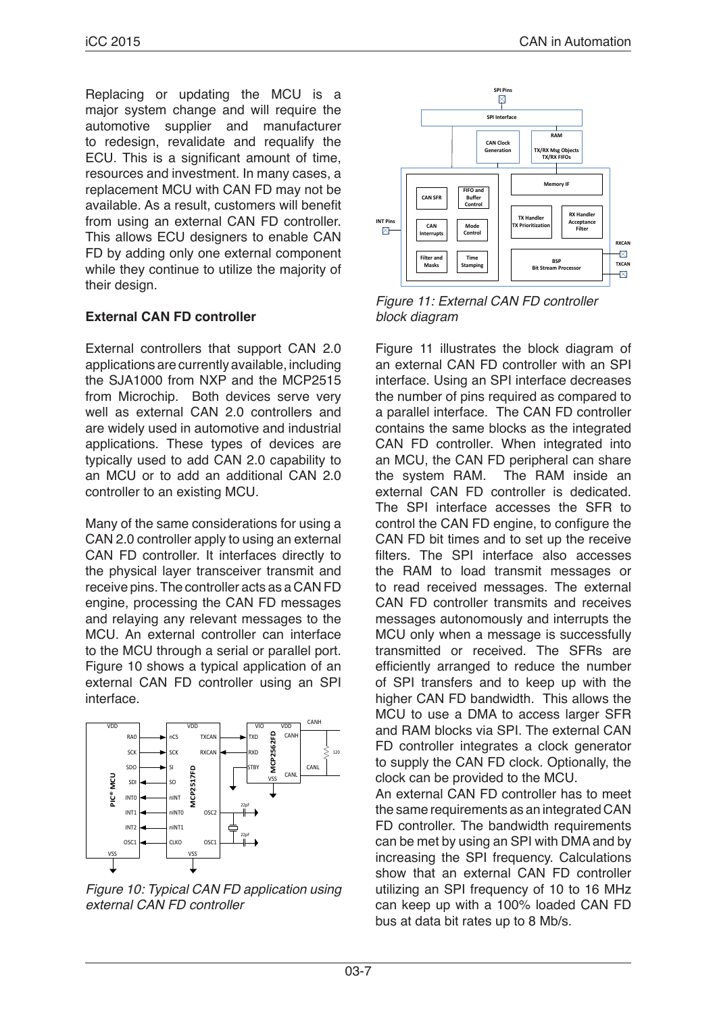Replacing or updating the MCU is a major system change and will require the automotive supplier and manufacturer to redesign, revalidate and requalify the ECU. This is a significant amount of time, resources and investment. In many cases, a replacement MCU with CAN FD may not be available. As a result, customers will benefit from using an external CAN FD controller. This allows ECU designers to enable CAN FD by adding only one external component while they continue to utilize the majority of their design.

# **External CAN FD controller**

External controllers that support CAN 2.0 applications are currently available, including the SJA1000 from NXP and the MCP2515 from Microchip. Both devices serve very well as external CAN 2.0 controllers and are widely used in automotive and industrial applications. These types of devices are typically used to add CAN 2.0 capability to an MCU or to add an additional CAN 2.0 controller to an existing MCU.

Many of the same considerations for using a CAN 2.0 controller apply to using an external CAN FD controller. It interfaces directly to the physical layer transceiver transmit and receive pins. The controller acts as a CAN FD engine, processing the CAN FD messages and relaying any relevant messages to the MCU. An external controller can interface to the MCU through a serial or parallel port. Figure 10 shows a typical application of an external CAN FD controller using an SPI interface.



*Figure 10: Typical CAN FD application using external CAN FD controller*



*Figure 11: External CAN FD controller block diagram*

Figure 11 illustrates the block diagram of an external CAN FD controller with an SPI interface. Using an SPI interface decreases the number of pins required as compared to a parallel interface. The CAN FD controller contains the same blocks as the integrated CAN FD controller. When integrated into an MCU, the CAN FD peripheral can share the system RAM. The RAM inside an external CAN FD controller is dedicated. The SPI interface accesses the SFR to control the CAN FD engine, to configure the CAN FD bit times and to set up the receive filters. The SPI interface also accesses the RAM to load transmit messages or to read received messages. The external CAN FD controller transmits and receives messages autonomously and interrupts the MCU only when a message is successfully transmitted or received. The SFRs are efficiently arranged to reduce the number of SPI transfers and to keep up with the higher CAN FD bandwidth. This allows the MCU to use a DMA to access larger SFR and RAM blocks via SPI. The external CAN FD controller integrates a clock generator to supply the CAN FD clock. Optionally, the clock can be provided to the MCU.

An external CAN FD controller has to meet the same requirements as an integrated CAN FD controller. The bandwidth requirements can be met by using an SPI with DMA and by increasing the SPI frequency. Calculations show that an external CAN FD controller utilizing an SPI frequency of 10 to 16 MHz can keep up with a 100% loaded CAN FD bus at data bit rates up to 8 Mb/s.